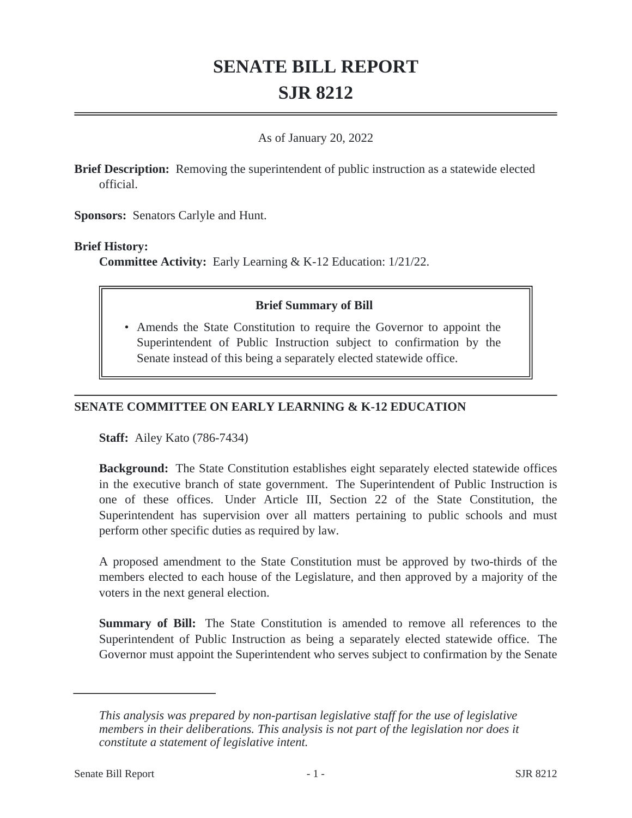# **SENATE BILL REPORT SJR 8212**

#### As of January 20, 2022

**Brief Description:** Removing the superintendent of public instruction as a statewide elected official.

**Sponsors:** Senators Carlyle and Hunt.

#### **Brief History:**

**Committee Activity:** Early Learning & K-12 Education: 1/21/22.

## **Brief Summary of Bill**

• Amends the State Constitution to require the Governor to appoint the Superintendent of Public Instruction subject to confirmation by the Senate instead of this being a separately elected statewide office.

## **SENATE COMMITTEE ON EARLY LEARNING & K-12 EDUCATION**

**Staff:** Ailey Kato (786-7434)

**Background:** The State Constitution establishes eight separately elected statewide offices in the executive branch of state government. The Superintendent of Public Instruction is one of these offices. Under Article III, Section 22 of the State Constitution, the Superintendent has supervision over all matters pertaining to public schools and must perform other specific duties as required by law.

A proposed amendment to the State Constitution must be approved by two-thirds of the members elected to each house of the Legislature, and then approved by a majority of the voters in the next general election.

**Summary of Bill:** The State Constitution is amended to remove all references to the Superintendent of Public Instruction as being a separately elected statewide office. The Governor must appoint the Superintendent who serves subject to confirmation by the Senate

*This analysis was prepared by non-partisan legislative staff for the use of legislative members in their deliberations. This analysis is not part of the legislation nor does it constitute a statement of legislative intent.*